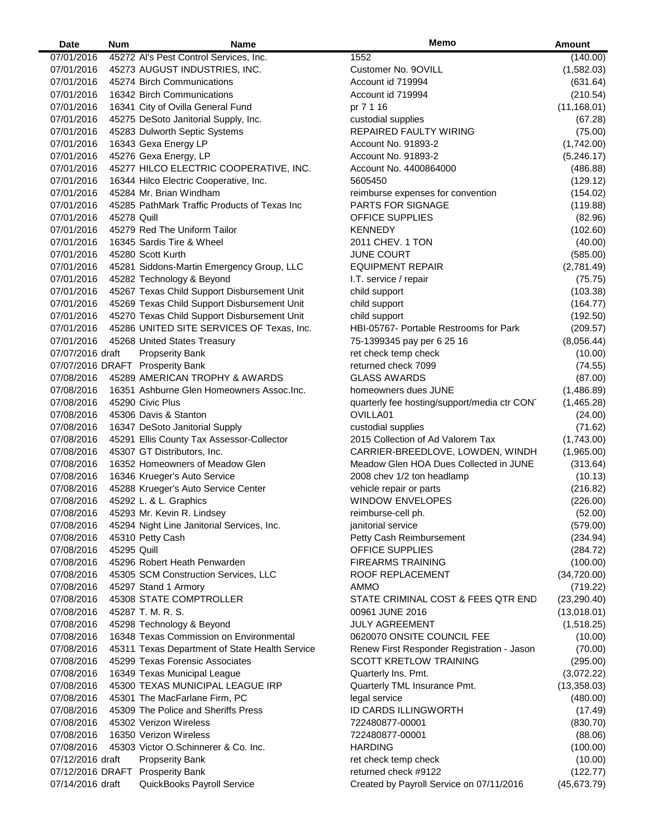| Date             | <b>Num</b>  | Name                                           | Memo                                        | <b>Amount</b> |
|------------------|-------------|------------------------------------------------|---------------------------------------------|---------------|
| 07/01/2016       |             | 45272 Al's Pest Control Services, Inc.         | 1552                                        | (140.00)      |
| 07/01/2016       |             | 45273 AUGUST INDUSTRIES, INC.                  | Customer No. 9OVILL                         | (1,582.03)    |
| 07/01/2016       |             | 45274 Birch Communications                     | Account id 719994                           | (631.64)      |
| 07/01/2016       |             | 16342 Birch Communications                     | Account id 719994                           | (210.54)      |
| 07/01/2016       |             | 16341 City of Ovilla General Fund              | pr 7 1 16                                   | (11, 168.01)  |
| 07/01/2016       |             | 45275 DeSoto Janitorial Supply, Inc.           | custodial supplies                          | (67.28)       |
| 07/01/2016       |             | 45283 Dulworth Septic Systems                  | REPAIRED FAULTY WIRING                      | (75.00)       |
| 07/01/2016       |             | 16343 Gexa Energy LP                           | Account No. 91893-2                         | (1,742.00)    |
| 07/01/2016       |             | 45276 Gexa Energy, LP                          | Account No. 91893-2                         | (5,246.17)    |
| 07/01/2016       |             | 45277 HILCO ELECTRIC COOPERATIVE, INC.         | Account No. 4400864000                      |               |
|                  |             |                                                |                                             | (486.88)      |
| 07/01/2016       |             | 16344 Hilco Electric Cooperative, Inc.         | 5605450                                     | (129.12)      |
| 07/01/2016       |             | 45284 Mr. Brian Windham                        | reimburse expenses for convention           | (154.02)      |
| 07/01/2016       |             | 45285 PathMark Traffic Products of Texas Inc   | <b>PARTS FOR SIGNAGE</b>                    | (119.88)      |
| 07/01/2016       | 45278 Quill |                                                | <b>OFFICE SUPPLIES</b>                      | (82.96)       |
| 07/01/2016       |             | 45279 Red The Uniform Tailor                   | <b>KENNEDY</b>                              | (102.60)      |
| 07/01/2016       |             | 16345 Sardis Tire & Wheel                      | 2011 CHEV. 1 TON                            | (40.00)       |
| 07/01/2016       |             | 45280 Scott Kurth                              | <b>JUNE COURT</b>                           | (585.00)      |
| 07/01/2016       |             | 45281 Siddons-Martin Emergency Group, LLC      | <b>EQUIPMENT REPAIR</b>                     | (2,781.49)    |
| 07/01/2016       |             | 45282 Technology & Beyond                      | I.T. service / repair                       | (75.75)       |
| 07/01/2016       |             | 45267 Texas Child Support Disbursement Unit    | child support                               | (103.38)      |
| 07/01/2016       |             | 45269 Texas Child Support Disbursement Unit    | child support                               | (164.77)      |
| 07/01/2016       |             | 45270 Texas Child Support Disbursement Unit    | child support                               | (192.50)      |
| 07/01/2016       |             | 45286 UNITED SITE SERVICES OF Texas, Inc.      | HBI-05767- Portable Restrooms for Park      | (209.57)      |
| 07/01/2016       |             | 45268 United States Treasury                   | 75-1399345 pay per 6 25 16                  | (8,056.44)    |
| 07/07/2016 draft |             | <b>Propserity Bank</b>                         | ret check temp check                        | (10.00)       |
|                  |             | 07/07/2016 DRAFT Prosperity Bank               | returned check 7099                         | (74.55)       |
| 07/08/2016       |             | 45289 AMERICAN TROPHY & AWARDS                 | <b>GLASS AWARDS</b>                         | (87.00)       |
| 07/08/2016       |             | 16351 Ashburne Glen Homeowners Assoc. Inc.     | homeowners dues JUNE                        | (1,486.89)    |
| 07/08/2016       |             | 45290 Civic Plus                               | quarterly fee hosting/support/media ctr CON | (1,465.28)    |
| 07/08/2016       |             | 45306 Davis & Stanton                          | OVILLA01                                    | (24.00)       |
|                  |             |                                                |                                             |               |
| 07/08/2016       |             | 16347 DeSoto Janitorial Supply                 | custodial supplies                          | (71.62)       |
| 07/08/2016       |             | 45291 Ellis County Tax Assessor-Collector      | 2015 Collection of Ad Valorem Tax           | (1,743.00)    |
| 07/08/2016       |             | 45307 GT Distributors, Inc.                    | CARRIER-BREEDLOVE, LOWDEN, WINDH            | (1,965.00)    |
| 07/08/2016       |             | 16352 Homeowners of Meadow Glen                | Meadow Glen HOA Dues Collected in JUNE      | (313.64)      |
| 07/08/2016       |             | 16346 Krueger's Auto Service                   | 2008 chev 1/2 ton headlamp                  | (10.13)       |
| 07/08/2016       |             | 45288 Krueger's Auto Service Center            | vehicle repair or parts                     | (216.82)      |
| 07/08/2016       |             | 45292 L. & L. Graphics                         | <b>WINDOW ENVELOPES</b>                     | (226.00)      |
| 07/08/2016       |             | 45293 Mr. Kevin R. Lindsey                     | reimburse-cell ph.                          | (52.00)       |
| 07/08/2016       |             | 45294 Night Line Janitorial Services, Inc.     | janitorial service                          | (579.00)      |
| 07/08/2016       |             | 45310 Petty Cash                               | Petty Cash Reimbursement                    | (234.94)      |
| 07/08/2016       | 45295 Quill |                                                | <b>OFFICE SUPPLIES</b>                      | (284.72)      |
| 07/08/2016       |             | 45296 Robert Heath Penwarden                   | <b>FIREARMS TRAINING</b>                    | (100.00)      |
| 07/08/2016       |             | 45305 SCM Construction Services, LLC           | ROOF REPLACEMENT                            | (34,720.00)   |
| 07/08/2016       |             | 45297 Stand 1 Armory                           | AMMO                                        | (719.22)      |
| 07/08/2016       |             | 45308 STATE COMPTROLLER                        | STATE CRIMINAL COST & FEES QTR END          | (23, 290.40)  |
| 07/08/2016       |             | 45287 T. M. R. S.                              | 00961 JUNE 2016                             | (13,018.01)   |
| 07/08/2016       |             | 45298 Technology & Beyond                      | <b>JULY AGREEMENT</b>                       | (1,518.25)    |
| 07/08/2016       |             | 16348 Texas Commission on Environmental        | 0620070 ONSITE COUNCIL FEE                  | (10.00)       |
| 07/08/2016       |             | 45311 Texas Department of State Health Service | Renew First Responder Registration - Jason  | (70.00)       |
| 07/08/2016       |             | 45299 Texas Forensic Associates                | <b>SCOTT KRETLOW TRAINING</b>               | (295.00)      |
| 07/08/2016       |             | 16349 Texas Municipal League                   | Quarterly Ins. Pmt.                         | (3,072.22)    |
|                  |             |                                                |                                             |               |
| 07/08/2016       |             | 45300 TEXAS MUNICIPAL LEAGUE IRP               | Quarterly TML Insurance Pmt.                | (13,358.03)   |
| 07/08/2016       |             | 45301 The MacFarlane Firm, PC                  | legal service                               | (480.00)      |
| 07/08/2016       |             | 45309 The Police and Sheriffs Press            | ID CARDS ILLINGWORTH                        | (17.49)       |
| 07/08/2016       |             | 45302 Verizon Wireless                         | 722480877-00001                             | (830.70)      |
| 07/08/2016       |             | 16350 Verizon Wireless                         | 722480877-00001                             | (88.06)       |
| 07/08/2016       |             | 45303 Victor O.Schinnerer & Co. Inc.           | <b>HARDING</b>                              | (100.00)      |
| 07/12/2016 draft |             | <b>Propserity Bank</b>                         | ret check temp check                        | (10.00)       |
|                  |             | 07/12/2016 DRAFT Prosperity Bank               | returned check #9122                        | (122.77)      |
| 07/14/2016 draft |             | QuickBooks Payroll Service                     | Created by Payroll Service on 07/11/2016    | (45, 673.79)  |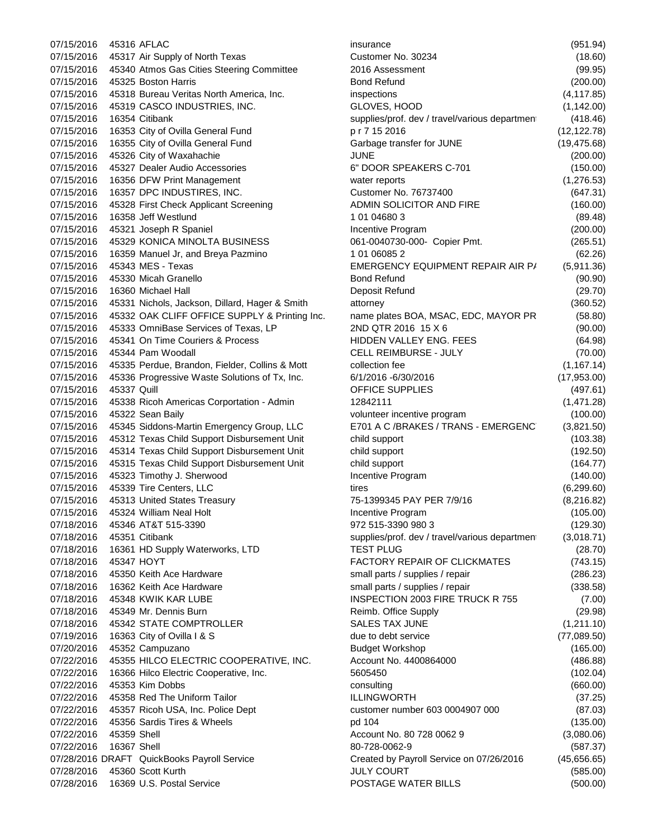07/15/2016 45317 Air Supply of North Texas Customer No. 30234 (18.60) 07/15/2016 45340 Atmos Gas Cities Steering Committee 2016 Assessment (99.95) 07/15/2016 45325 Boston Harris Bond Refund (200.00) 07/15/2016 45318 Bureau Veritas North America, Inc. inspections (4,117.85) 07/15/2016 45319 CASCO INDUSTRIES, INC. GLOVES, HOOD (1,142.00) 07/15/2016 16354 Citibank supplies/prof. dev / travel/various departmen (418.46) 07/15/2016 16353 City of Ovilla General Fund p r 7 15 2016 (12,122.78) 07/15/2016 16355 City of Ovilla General Fund Garbage transfer for JUNE (19,475.68) 07/15/2016 45326 City of Waxahachie JUNE JUNE (200.00) 07/15/2016 45327 Dealer Audio Accessories 6" DOOR SPEAKERS C-701 (150.00) 07/15/2016 16356 DFW Print Management water reports (1,276.53) 07/15/2016 16357 DPC INDUSTIRES, INC. Customer No. 76737400 (647.31) 07/15/2016 45328 First Check Applicant Screening 4DMIN SOLICITOR AND FIRE (160.00) 07/15/2016 16358 Jeff Westlund 1 01 04680 3 (89.48) 07/15/2016 45321 Joseph R Spaniel **Incentive Program** Incentive Program (200.00) 07/15/2016 45329 KONICA MINOLTA BUSINESS 061-0040730-000- Copier Pmt. (265.51) 07/15/2016 16359 Manuel Jr, and Breya Pazmino 1 01 06085 2 (62.26) 07/15/2016 45343 MES - Texas EMERGENCY EQUIPMENT REPAIR AIR P/ (5,911.36) 07/15/2016 45330 Micah Granello Bond Refund (90.90) 07/15/2016 16360 Michael Hall Deposit Refund (29.70) 07/15/2016 45331 Nichols, Jackson, Dillard, Hager & Smith attorney (360.52) 07/15/2016 45332 OAK CLIFF OFFICE SUPPLY & Printing Inc. name plates BOA, MSAC, EDC, MAYOR PR (58.80) 07/15/2016 45333 OmniBase Services of Texas, LP 2ND QTR 2016 15 X 6 (90.00) 07/15/2016 45341 On Time Couriers & Process HIDDEN VALLEY ENG. FEES (64.98) 07/15/2016 45344 Pam Woodall CELL REIMBURSE - JULY (70.00) 07/15/2016 45335 Perdue, Brandon, Fielder, Collins & Mott collection fee (1,167.14) 07/15/2016 45336 Progressive Waste Solutions of Tx, Inc. 6/1/2016 -6/30/2016 (17,953.00) 07/15/2016 45337 Quill OFFICE SUPPLIES (497.61) 07/15/2016 45338 Ricoh Americas Corportation - Admin 12842111 (1,471.28) 07/15/2016 45322 Sean Baily volunteer incentive program (100.00) 07/15/2016 45345 Siddons-Martin Emergency Group, LLC E701 A C /BRAKES / TRANS - EMERGENC (3,821.50) 07/15/2016 45312 Texas Child Support Disbursement Unit child support (103.38) 07/15/2016 45314 Texas Child Support Disbursement Unit child support (192.50) 07/15/2016 45315 Texas Child Support Disbursement Unit child support (164.77) 07/15/2016 45323 Timothy J. Sherwood Incentive Program (140.00) 07/15/2016 45339 Tire Centers, LLC tires tires (6.299.60) 07/15/2016 45313 United States Treasury 75-1399345 PAY PER 7/9/16 (8,216.82) 07/15/2016 45324 William Neal Holt **Incentive Program Incentive Program** (105.00) 07/18/2016 45346 AT&T 515-3390 972 515-3390 980 3 (129.30) 07/18/2016 45351 Citibank supplies/prof. dev / travel/various departmen (3,018.71) 07/18/2016 16361 HD Supply Waterworks, LTD TEST PLUG (28.70) 07/18/2016 45347 HOYT **FACTORY REPAIR OF CLICKMATES** (743.15) 07/18/2016 45350 Keith Ace Hardware small parts / supplies / repair (286.23) 07/18/2016 16362 Keith Ace Hardware small parts / supplies / repair (338.58) 07/18/2016 45348 KWIK KAR LUBE INSPECTION 2003 FIRE TRUCK R 755 (7.00) 07/18/2016 45349 Mr. Dennis Burn **Reimb. Office Supply 1994** (29.98) Reimb. Office Supply 07/18/2016 45342 STATE COMPTROLLER SALES TAX JUNE (1,211.10) 07/19/2016 16363 City of Ovilla I & S due to debt service (77,089.50) 07/20/2016 45352 Campuzano Budget Workshop (165.00) 07/22/2016 45355 HILCO ELECTRIC COOPERATIVE, INC. Account No. 4400864000 (486.88) 07/22/2016 16366 Hilco Electric Cooperative, Inc. 5605450 (102.04) 07/22/2016 45353 Kim Dobbs consulting (660.00) 07/22/2016 45358 Red The Uniform Tailor ILLINGWORTH (37.25) 07/22/2016 45357 Ricoh USA, Inc. Police Dept customer number 603 0004907 000 (87.03) 07/22/2016 45356 Sardis Tires & Wheels pd 104 pd 104 (135.00) 07/22/2016 45359 Shell **Account No. 80 728 0062 9** (3,080.06) 07/22/2016 16367 Shell (587.37) 80-728-0062-9 (587.37) 07/28/2016 DRAFT QuickBooks Payroll Service Created by Payroll Service on 07/26/2016 (45,656.65) 07/28/2016 45360 Scott Kurth JULY COURT (585.00) 07/28/2016 16369 U.S. Postal Service POSTAGE WATER BILLS (500.00)

07/15/2016 45316 AFLAC insurance (951.94)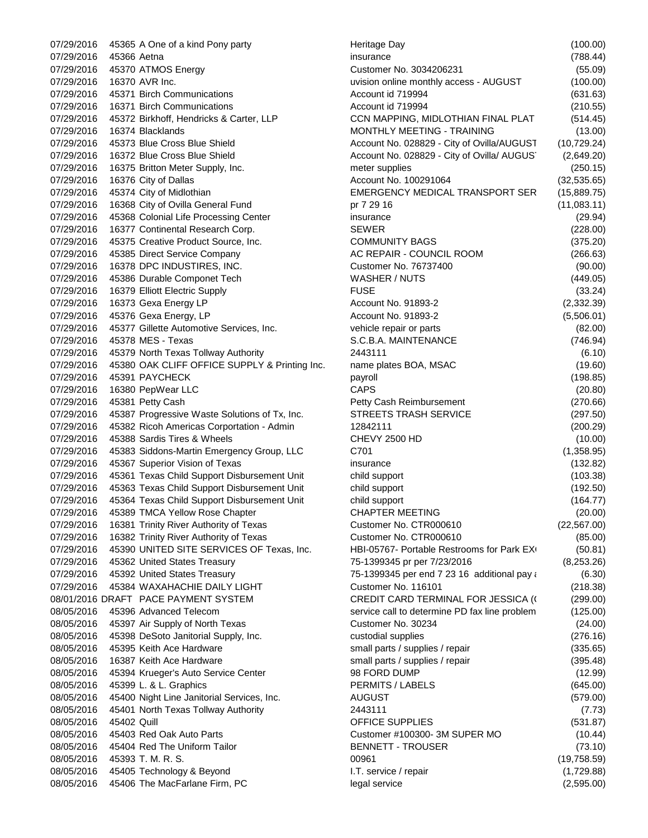$07/29/2016$  45365 A One of a kind Pony party 07/29/2016 45366 Aetna 07/29/2016 45370 ATMOS Energy 07/29/2016 16370 AVR Inc. 07/29/2016 45371 Birch Communications 07/29/2016 16371 Birch Communications 07/29/2016 45372 Birkhoff, Hendricks & Carter, LLP 07/29/2016 16374 Blacklands 07/29/2016 45373 Blue Cross Blue Shield 07/29/2016 16372 Blue Cross Blue Shield 07/29/2016 16375 Britton Meter Supply, Inc. 07/29/2016 16376 City of Dallas 07/29/2016 45374 City of Midlothian 07/29/2016 16368 City of Ovilla General Fund 07/29/2016 45368 Colonial Life Processing Center 07/29/2016 16377 Continental Research Corp. 07/29/2016 45375 Creative Product Source, Inc. 07/29/2016 45385 Direct Service Company 07/29/2016 16378 DPC INDUSTIRES, INC. 07/29/2016 45386 Durable Componet Tech 07/29/2016 16379 Elliott Electric Supply 07/29/2016 16373 Gexa Energy LP 07/29/2016 45376 Gexa Energy, LP 07/29/2016 45377 Gillette Automotive Services, Inc. 07/29/2016 45378 MES - Texas 07/29/2016 45379 North Texas Tollway Authority 07/29/2016 45380 OAK CLIFF OFFICE SUPPLY & Printing Inc. 07/29/2016 45391 PAYCHECK 07/29/2016 16380 PepWear LLC 07/29/2016 45381 Petty Cash 07/29/2016 45387 Progressive Waste Solutions of Tx, Inc. 07/29/2016 45382 Ricoh Americas Corportation - Admin 07/29/2016 45388 Sardis Tires & Wheels 07/29/2016 45383 Siddons-Martin Emergency Group, LLC 07/29/2016 45367 Superior Vision of Texas 07/29/2016 45361 Texas Child Support Disbursement Unit 07/29/2016 45363 Texas Child Support Disbursement Unit 07/29/2016 45364 Texas Child Support Disbursement Unit 07/29/2016 45389 TMCA Yellow Rose Chapter 07/29/2016 16381 Trinity River Authority of Texas 07/29/2016 16382 Trinity River Authority of Texas 07/29/2016 45390 UNITED SITE SERVICES OF Texas, Inc. 07/29/2016 45362 United States Treasury 07/29/2016 45392 United States Treasury 07/29/2016 45384 WAXAHACHIE DAILY LIGHT 08/01/2016 DRAFT PACE PAYMENT SYSTEM 08/05/2016 45396 Advanced Telecom 08/05/2016 45397 Air Supply of North Texas 08/05/2016 45398 DeSoto Janitorial Supply, Inc. 08/05/2016 45395 Keith Ace Hardware 08/05/2016 16387 Keith Ace Hardware 08/05/2016 45394 Krueger's Auto Service Center 08/05/2016 45399 L. & L. Graphics 08/05/2016 45400 Night Line Janitorial Services, Inc. 08/05/2016 45401 North Texas Tollway Authority 08/05/2016 45402 Quill 08/05/2016 45403 Red Oak Auto Parts 08/05/2016 45404 Red The Uniform Tailor 08/05/2016 45393 T. M. R. S. 08/05/2016 45405 Technology & Beyond 08/05/2016 45406 The MacFarlane Firm, PC legal service legal service (2,595.00)

| Heritage Day                                  | (100.00)     |
|-----------------------------------------------|--------------|
| insurance                                     | (788.44)     |
| Customer No. 3034206231                       | (55.09)      |
| uvision online monthly access - AUGUST        | (100.00)     |
| Account id 719994                             | (631.63)     |
| Account id 719994                             | (210.55)     |
| CCN MAPPING, MIDLOTHIAN FINAL PLAT            | (514.45)     |
| <b>MONTHLY MEETING - TRAINING</b>             | (13.00)      |
| Account No. 028829 - City of Ovilla/AUGUST    | (10, 729.24) |
| Account No. 028829 - City of Ovilla/ AUGUS    | (2,649.20)   |
| meter supplies                                | (250.15)     |
| Account No. 100291064                         | (32, 535.65) |
| EMERGENCY MEDICAL TRANSPORT SER               | (15,889.75)  |
| pr 7 29 16                                    | (11,083.11)  |
| insurance                                     | (29.94)      |
| SEWER                                         | (228.00)     |
| <b>COMMUNITY BAGS</b>                         | (375.20)     |
| AC REPAIR - COUNCIL ROOM                      | (266.63)     |
| Customer No. 76737400                         | (90.00)      |
| <b>WASHER / NUTS</b>                          | (449.05)     |
| <b>FUSE</b>                                   | (33.24)      |
| Account No. 91893-2                           | (2, 332.39)  |
| <b>Account No. 91893-2</b>                    | (5,506.01)   |
| vehicle repair or parts                       | (82.00)      |
| S.C.B.A. MAINTENANCE                          |              |
| 2443111                                       | (746.94)     |
|                                               | (6.10)       |
| name plates BOA, MSAC                         | (19.60)      |
| payroll                                       | (198.85)     |
| CAPS                                          | (20.80)      |
| Petty Cash Reimbursement                      | (270.66)     |
| <b>STREETS TRASH SERVICE</b>                  | (297.50)     |
| 12842111                                      | (200.29)     |
| <b>CHEVY 2500 HD</b>                          | (10.00)      |
| C701                                          | (1,358.95)   |
| insurance                                     | (132.82)     |
| child support                                 | (103.38)     |
| child support                                 | (192.50)     |
| child support                                 | (164.77)     |
| <b>CHAPTER MEETING</b>                        | (20.00)      |
| Customer No. CTR000610                        | (22, 567.00) |
| Customer No. CTR000610                        | (85.00)      |
| HBI-05767- Portable Restrooms for Park EX     | (50.81)      |
| 75-1399345 pr per 7/23/2016                   | (8, 253.26)  |
| 75-1399345 per end 7 23 16 additional pay a   | (6.30)       |
| Customer No. 116101                           | (218.38)     |
| CREDIT CARD TERMINAL FOR JESSICA (I           | (299.00)     |
| service call to determine PD fax line problem | (125.00)     |
| Customer No. 30234                            | (24.00)      |
| custodial supplies                            | (276.16)     |
| small parts / supplies / repair               | (335.65)     |
| small parts / supplies / repair               | (395.48)     |
| 98 FORD DUMP                                  | (12.99)      |
| PERMITS / LABELS                              | (645.00)     |
| <b>AUGUST</b>                                 | (579.00)     |
| 2443111                                       | (7.73)       |
| OFFICE SUPPLIES                               | (531.87)     |
| Customer #100300- 3M SUPER MO                 | (10.44)      |
| <b>BENNETT - TROUSER</b>                      | (73.10)      |
| 00961                                         | (19, 758.59) |
| I.T. service / repair                         | (1,729.88)   |
| legal service                                 | (2.595.00)   |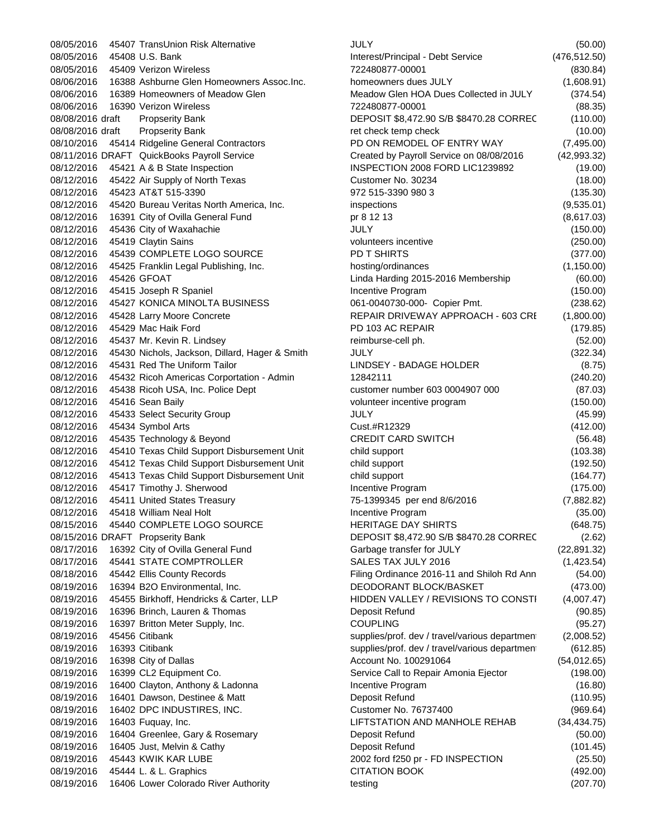08/05/2016 45407 TransUnion Risk Alternative 08/05/2016 45408 U.S. Bank 08/05/2016 45409 Verizon Wireless 08/06/2016 16388 Ashburne Glen Homeowners Assoc.Inc. 08/06/2016 16389 Homeowners of Meadow Glen 08/06/2016 16390 Verizon Wireless 08/08/2016 draft Propserity Bank 08/08/2016 draft Propserity Bank 08/10/2016 45414 Ridgeline General Contractors 08/11/2016 DRAFT QuickBooks Payroll Service 08/12/2016 45421 A & B State Inspection 08/12/2016 45422 Air Supply of North Texas 08/12/2016 45423 AT&T 515-3390 08/12/2016 45420 Bureau Veritas North America, Inc. 08/12/2016 16391 City of Ovilla General Fund 08/12/2016 45436 City of Waxahachie 08/12/2016 45419 Claytin Sains 08/12/2016 45439 COMPLETE LOGO SOURCE 08/12/2016 45425 Franklin Legal Publishing, Inc. 08/12/2016 45426 GFOAT 08/12/2016 45415 Joseph R Spaniel 08/12/2016 45427 KONICA MINOLTA BUSINESS 08/12/2016 45428 Larry Moore Concrete 08/12/2016 45429 Mac Haik Ford 08/12/2016 45437 Mr. Kevin R. Lindsey 08/12/2016 45430 Nichols, Jackson, Dillard, Hager & Smith 08/12/2016 45431 Red The Uniform Tailor 08/12/2016 45432 Ricoh Americas Corportation - Admin 08/12/2016 45438 Ricoh USA, Inc. Police Dept 08/12/2016 45416 Sean Baily 08/12/2016 45433 Select Security Group 08/12/2016 45434 Symbol Arts 08/12/2016 45435 Technology & Beyond 08/12/2016 45410 Texas Child Support Disbursement Unit 08/12/2016 45412 Texas Child Support Disbursement Unit 08/12/2016 45413 Texas Child Support Disbursement Unit 08/12/2016 45417 Timothy J. Sherwood 08/12/2016 45411 United States Treasury 08/12/2016 45418 William Neal Holt 08/15/2016 45440 COMPLETE LOGO SOURCE 08/15/2016 DRAFT Propserity Bank 08/17/2016 16392 City of Ovilla General Fund 08/17/2016 45441 STATE COMPTROLLER 08/18/2016 45442 Ellis County Records 08/19/2016 16394 B2O Environmental, Inc. 08/19/2016 45455 Birkhoff, Hendricks & Carter, LLP 08/19/2016 16396 Brinch, Lauren & Thomas 08/19/2016 16397 Britton Meter Supply, Inc. 08/19/2016 45456 Citibank 08/19/2016 16393 Citibank 08/19/2016 16398 City of Dallas 08/19/2016 16399 CL2 Equipment Co. 08/19/2016 16400 Clayton, Anthony & Ladonna 08/19/2016 16401 Dawson, Destinee & Matt 08/19/2016 16402 DPC INDUSTIRES, INC. 08/19/2016 16403 Fuquay, Inc. 08/19/2016 16404 Greenlee, Gary & Rosemary 08/19/2016 16405 Just, Melvin & Cathy 08/19/2016 45443 KWIK KAR LUBE 08/19/2016 45444 L. & L. Graphics 08/19/2016 16406 Lower Colorado River Authority

| JULY                                          | (50.00)       |
|-----------------------------------------------|---------------|
| Interest/Principal - Debt Service             | (476, 512.50) |
| 722480877-00001                               | (830.84)      |
| homeowners dues JULY                          | (1,608.91)    |
| Meadow Glen HOA Dues Collected in JULY        | (374.54)      |
| 722480877-00001                               | (88.35)       |
| DEPOSIT \$8,472.90 S/B \$8470.28 CORREC       | (110.00)      |
| ret check temp check                          | (10.00)       |
| PD ON REMODEL OF ENTRY WAY                    | (7,495.00)    |
| Created by Payroll Service on 08/08/2016      | (42, 993.32)  |
| INSPECTION 2008 FORD LIC1239892               | (19.00)       |
| Customer No. 30234                            | (18.00)       |
| 972 515-3390 980 3                            | (135.30)      |
| inspections                                   | (9,535.01)    |
| pr 8 12 13                                    | (8,617.03)    |
| JULY                                          | (150.00)      |
| volunteers incentive                          | (250.00)      |
| PD T SHIRTS                                   | (377.00)      |
| hosting/ordinances                            | (1, 150.00)   |
| Linda Harding 2015-2016 Membership            | (60.00)       |
| Incentive Program                             | (150.00)      |
| 061-0040730-000- Copier Pmt.                  | (238.62)      |
| REPAIR DRIVEWAY APPROACH - 603 CRI            | (1,800.00)    |
| PD 103 AC REPAIR                              | (179.85)      |
| reimburse-cell ph.                            | (52.00)       |
| JULY                                          | (322.34)      |
| LINDSEY - BADAGE HOLDER                       | (8.75)        |
| 12842111                                      | (240.20)      |
| customer number 603 0004907 000               | (87.03)       |
| volunteer incentive program                   | (150.00)      |
| JULY                                          | (45.99)       |
| Cust.#R12329                                  | (412.00)      |
| <b>CREDIT CARD SWITCH</b>                     | (56.48)       |
| child support                                 | (103.38)      |
| child support                                 | (192.50)      |
| child support                                 | (164.77)      |
| Incentive Program                             | (175.00)      |
| 75-1399345 per end 8/6/2016                   | (7,882.82)    |
| Incentive Program                             | (35.00)       |
| <b>HERITAGE DAY SHIRTS</b>                    | (648.75)      |
| DEPOSIT \$8,472.90 S/B \$8470.28 CORREC       | (2.62)        |
| Garbage transfer for JULY                     | (22, 891.32)  |
| SALES TAX JULY 2016                           | (1,423.54)    |
| Filing Ordinance 2016-11 and Shiloh Rd Ann    | (54.00)       |
| DEODORANT BLOCK/BASKET                        | (473.00)      |
| HIDDEN VALLEY / REVISIONS TO CONSTI           | (4,007.47)    |
| Deposit Refund                                | (90.85)       |
| <b>COUPLING</b>                               | (95.27)       |
| supplies/prof. dev / travel/various departmen | (2,008.52)    |
| supplies/prof. dev / travel/various departmen | (612.85)      |
| Account No. 100291064                         | (54, 012.65)  |
| Service Call to Repair Amonia Ejector         | (198.00)      |
| Incentive Program                             | (16.80)       |
| Deposit Refund                                | (110.95)      |
| Customer No. 76737400                         | (969.64)      |
| LIFTSTATION AND MANHOLE REHAB                 | (34, 434.75)  |
| Deposit Refund                                | (50.00)       |
| Deposit Refund                                | (101.45)      |
| 2002 ford f250 pr - FD INSPECTION             | (25.50)       |
| <b>CITATION BOOK</b>                          | (492.00)      |
| testing                                       | (207.70)      |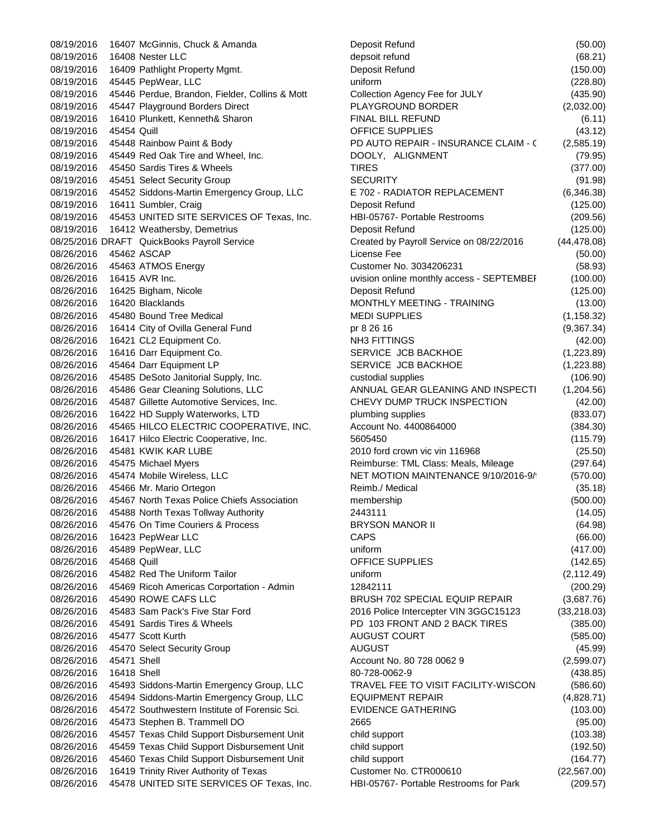08/19/2016 16407 McGinnis, Chuck & Amanda 08/19/2016 16408 Nester LLC 08/19/2016 16409 Pathlight Property Mgmt. 08/19/2016 45445 PepWear, LLC 08/19/2016 45446 Perdue, Brandon, Fielder, Collins & Mott 08/19/2016 45447 Playground Borders Direct 08/19/2016 16410 Plunkett, Kenneth& Sharon 08/19/2016 45454 Quill 08/19/2016 45448 Rainbow Paint & Body 08/19/2016 45449 Red Oak Tire and Wheel, Inc. 08/19/2016 45450 Sardis Tires & Wheels 08/19/2016 45451 Select Security Group 08/19/2016 45452 Siddons-Martin Emergency Group, LLC 08/19/2016 16411 Sumbler, Craig 08/19/2016 45453 UNITED SITE SERVICES OF Texas, Inc. 08/19/2016 16412 Weathersby, Demetrius 08/25/2016 DRAFT QuickBooks Payroll Service 08/26/2016 45462 ASCAP 08/26/2016 45463 ATMOS Energy 08/26/2016 16415 AVR Inc. 08/26/2016 16425 Bigham, Nicole 08/26/2016 16420 Blacklands 08/26/2016 45480 Bound Tree Medical 08/26/2016 16414 City of Ovilla General Fund 08/26/2016 16421 CL2 Equipment Co. 08/26/2016 16416 Darr Equipment Co. 08/26/2016 45464 Darr Equipment LP 08/26/2016 45485 DeSoto Janitorial Supply, Inc. 08/26/2016 45486 Gear Cleaning Solutions, LLC 08/26/2016 45487 Gillette Automotive Services, Inc. 08/26/2016 16422 HD Supply Waterworks, LTD 08/26/2016 45465 HILCO ELECTRIC COOPERATIVE, INC. 08/26/2016 16417 Hilco Electric Cooperative, Inc. 08/26/2016 45481 KWIK KAR LUBE 08/26/2016 45475 Michael Myers 08/26/2016 45474 Mobile Wireless, LLC 08/26/2016 45466 Mr. Mario Ortegon 08/26/2016 45467 North Texas Police Chiefs Association 08/26/2016 45488 North Texas Tollway Authority 08/26/2016 45476 On Time Couriers & Process 08/26/2016 16423 PepWear LLC 08/26/2016 45489 PepWear, LLC 08/26/2016 45468 Quill 08/26/2016 45482 Red The Uniform Tailor 08/26/2016 45469 Ricoh Americas Corportation - Admin 08/26/2016 45490 ROWE CAFS LLC 08/26/2016 45483 Sam Pack's Five Star Ford 08/26/2016 45491 Sardis Tires & Wheels 08/26/2016 45477 Scott Kurth 08/26/2016 45470 Select Security Group 08/26/2016 45471 Shell 08/26/2016 16418 Shell 08/26/2016 45493 Siddons-Martin Emergency Group, LLC 08/26/2016 45494 Siddons-Martin Emergency Group, LLC 08/26/2016 45472 Southwestern Institute of Forensic Sci. 08/26/2016 45473 Stephen B. Trammell DO 08/26/2016 45457 Texas Child Support Disbursement Unit 08/26/2016 45459 Texas Child Support Disbursement Unit 08/26/2016 45460 Texas Child Support Disbursement Unit 08/26/2016 16419 Trinity River Authority of Texas 08/26/2016 45478 UNITED SITE SERVICES OF Texas, Inc.

| Deposit Refund                                                   | (50.00)      |
|------------------------------------------------------------------|--------------|
| depsoit refund                                                   | (68.21)      |
| Deposit Refund                                                   | (150.00)     |
| uniform                                                          | (228.80)     |
| Collection Agency Fee for JULY                                   | (435.90)     |
| PLAYGROUND BORDER                                                | (2,032.00)   |
| FINAL BILL REFUND                                                | (6.11)       |
| OFFICE SUPPLIES                                                  | (43.12)      |
| PD AUTO REPAIR - INSURANCE CLAIM - 0                             | (2,585.19)   |
| DOOLY, ALIGNMENT                                                 | (79.95)      |
| TIRES                                                            | (377.00)     |
| <b>SECURITY</b>                                                  | (91.98)      |
| E 702 - RADIATOR REPLACEMENT                                     | (6,346.38)   |
| Deposit Refund                                                   | (125.00)     |
| HBI-05767- Portable Restrooms                                    | (209.56)     |
| Deposit Refund                                                   | (125.00)     |
| Created by Payroll Service on 08/22/2016                         | (44, 478.08) |
| License Fee                                                      | (50.00)      |
| Customer No. 3034206231                                          | (58.93)      |
| uvision online monthly access - SEPTEMBEF                        | (100.00)     |
| Deposit Refund                                                   | (125.00)     |
| MONTHLY MEETING - TRAINING                                       | (13.00)      |
| <b>MEDI SUPPLIES</b>                                             | (1, 158.32)  |
| pr 8 26 16                                                       | (9,367.34)   |
| <b>NH3 FITTINGS</b>                                              | (42.00)      |
| SERVICE JCB BACKHOE                                              |              |
| SERVICE JCB BACKHOE                                              | (1,223.89)   |
|                                                                  | (1, 223.88)  |
| custodial supplies                                               | (106.90)     |
| ANNUAL GEAR GLEANING AND INSPECTI<br>CHEVY DUMP TRUCK INSPECTION | (1, 204.56)  |
|                                                                  | (42.00)      |
| plumbing supplies<br>Account No. 4400864000                      | (833.07)     |
|                                                                  | (384.30)     |
| 5605450                                                          | (115.79)     |
| 2010 ford crown vic vin 116968                                   | (25.50)      |
| Reimburse: TML Class: Meals, Mileage                             | (297.64)     |
| NET MOTION MAINTENANCE 9/10/2016-9/                              | (570.00)     |
| Reimb./ Medical                                                  | (35.18)      |
| membership                                                       | (500.00)     |
| 2443111                                                          | (14.05)      |
| <b>BRYSON MANOR II</b>                                           | (64.98)      |
| <b>CAPS</b>                                                      | (66.00)      |
| uniform                                                          | (417.00)     |
| OFFICE SUPPLIES                                                  | (142.65)     |
| uniform                                                          | (2, 112.49)  |
| 12842111                                                         | (200.29)     |
| <b>BRUSH 702 SPECIAL EQUIP REPAIR</b>                            | (3,687.76)   |
| 2016 Police Intercepter VIN 3GGC15123                            | (33, 218.03) |
| PD 103 FRONT AND 2 BACK TIRES                                    | (385.00)     |
| <b>AUGUST COURT</b>                                              | (585.00)     |
| <b>AUGUST</b>                                                    | (45.99)      |
| Account No. 80 728 0062 9                                        | (2,599.07)   |
| 80-728-0062-9                                                    | (438.85)     |
| TRAVEL FEE TO VISIT FACILITY-WISCON                              | (586.60)     |
| <b>EQUIPMENT REPAIR</b>                                          | (4,828.71)   |
| <b>EVIDENCE GATHERING</b>                                        | (103.00)     |
| 2665                                                             | (95.00)      |
| child support                                                    | (103.38)     |
| child support                                                    | (192.50)     |
| child support                                                    | (164.77)     |
| Customer No. CTR000610                                           | (22, 567.00) |
| HBI-05767- Portable Restrooms for Park                           | (209.57)     |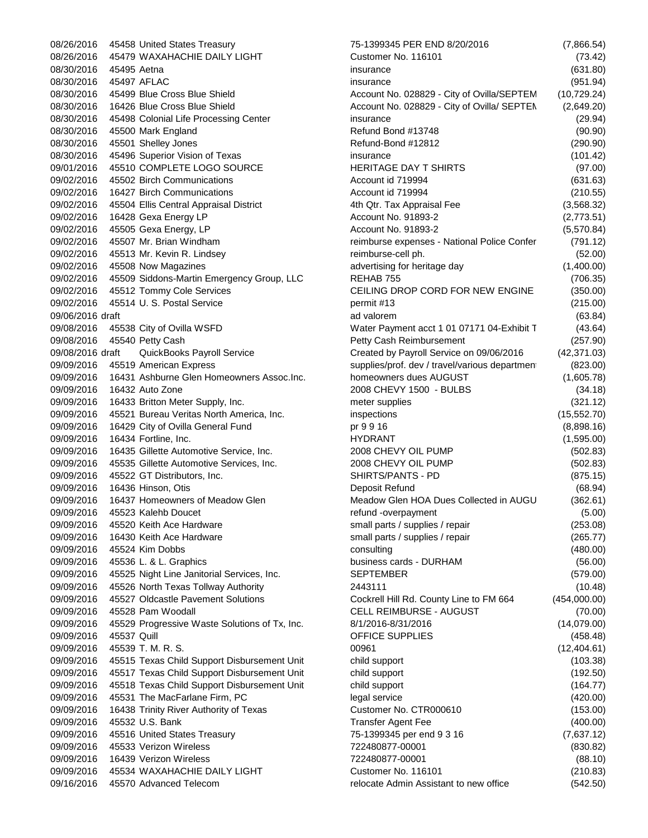08/26/2016 45458 United States Treasury 08/26/2016 45479 WAXAHACHIE DAILY LIGHT 08/30/2016 45495 Aetna 08/30/2016 45497 AFLAC 08/30/2016 45499 Blue Cross Blue Shield 08/30/2016 16426 Blue Cross Blue Shield 08/30/2016 45498 Colonial Life Processing Center 08/30/2016 45500 Mark England 08/30/2016 45501 Shelley Jones 08/30/2016 45496 Superior Vision of Texas 09/01/2016 45510 COMPLETE LOGO SOURCE 09/02/2016 45502 Birch Communications 09/02/2016 16427 Birch Communications 09/02/2016 45504 Ellis Central Appraisal District 09/02/2016 16428 Gexa Energy LP 09/02/2016 45505 Gexa Energy, LP 09/02/2016 45507 Mr. Brian Windham 09/02/2016 45513 Mr. Kevin R. Lindsey 09/02/2016 45508 Now Magazines 09/02/2016 45509 Siddons-Martin Emergency Group, LLC 09/02/2016 45512 Tommy Cole Services 09/02/2016 45514 U.S. Postal Service 09/06/2016 draft 09/08/2016 45538 City of Ovilla WSFD 09/08/2016 45540 Petty Cash 09/08/2016 draft QuickBooks Payroll Service 09/09/2016 45519 American Express 09/09/2016 16431 Ashburne Glen Homeowners Assoc.Inc. 09/09/2016 16432 Auto Zone 09/09/2016 16433 Britton Meter Supply, Inc. 09/09/2016 45521 Bureau Veritas North America, Inc. 09/09/2016 16429 City of Ovilla General Fund 09/09/2016 16434 Fortline, Inc. 09/09/2016 16435 Gillette Automotive Service, Inc. 09/09/2016 45535 Gillette Automotive Services, Inc. 09/09/2016 45522 GT Distributors, Inc. 09/09/2016 16436 Hinson, Otis 09/09/2016 16437 Homeowners of Meadow Glen 09/09/2016 45523 Kalehb Doucet 09/09/2016 45520 Keith Ace Hardware 09/09/2016 16430 Keith Ace Hardware 09/09/2016 45524 Kim Dobbs 09/09/2016 45536 L. & L. Graphics 09/09/2016 45525 Night Line Janitorial Services, Inc. 09/09/2016 45526 North Texas Tollway Authority 09/09/2016 45527 Oldcastle Pavement Solutions 09/09/2016 45528 Pam Woodall 09/09/2016 45529 Progressive Waste Solutions of Tx, Inc. 09/09/2016 45537 Quill 09/09/2016 45539 T. M. R. S. 09/09/2016 45515 Texas Child Support Disbursement Unit 09/09/2016 45517 Texas Child Support Disbursement Unit 09/09/2016 45518 Texas Child Support Disbursement Unit 09/09/2016 45531 The MacFarlane Firm, PC 09/09/2016 16438 Trinity River Authority of Texas 09/09/2016 45532 U.S. Bank 09/09/2016 45516 United States Treasury 09/09/2016 45533 Verizon Wireless 09/09/2016 16439 Verizon Wireless 09/09/2016 45534 WAXAHACHIE DAILY LIGHT 09/16/2016 45570 Advanced Telecom

| 75-1399345 PER END 8/20/2016                           | (7,866.54)   |
|--------------------------------------------------------|--------------|
| Customer No. 116101                                    | (73.42)      |
| insurance                                              | (631.80)     |
| insurance                                              | (951.94)     |
| Account No. 028829 - City of Ovilla/SEPTEM             | (10, 729.24) |
| Account No. 028829 - City of Ovilla/ SEPTEN            | (2,649.20)   |
| insurance                                              | (29.94)      |
| Refund Bond #13748                                     | (90.90)      |
| Refund-Bond #12812                                     | (290.90)     |
| insurance                                              | (101.42)     |
| HERITAGE DAY T SHIRTS                                  | (97.00)      |
| Account id 719994                                      | (631.63)     |
| Account id 719994                                      | (210.55)     |
| 4th Qtr. Tax Appraisal Fee                             | (3, 568.32)  |
| Account No. 91893-2                                    | (2,773.51)   |
| Account No. 91893-2                                    | (5,570.84)   |
| reimburse expenses - National Police Confer            | (791.12)     |
| reimburse-cell ph.                                     | (52.00)      |
| advertising for heritage day                           | (1,400.00)   |
| REHAB 755                                              | (706.35)     |
| CEILING DROP CORD FOR NEW ENGINE                       | (350.00)     |
| permit #13                                             | (215.00)     |
| ad valorem                                             | (63.84)      |
| Water Payment acct 1 01 07171 04-Exhibit T             | (43.64)      |
| Petty Cash Reimbursement                               | (257.90)     |
| Created by Payroll Service on 09/06/2016               | (42, 371.03) |
| supplies/prof. dev / travel/various departmen          | (823.00)     |
| homeowners dues AUGUST                                 | (1,605.78)   |
| 2008 CHEVY 1500 - BULBS                                | (34.18)      |
| meter supplies                                         | (321.12)     |
| inspections                                            | (15, 552.70) |
| pr 9 9 16                                              | (8,898.16)   |
| <b>HYDRANT</b>                                         | (1,595.00)   |
| 2008 CHEVY OIL PUMP                                    | (502.83)     |
| 2008 CHEVY OIL PUMP                                    | (502.83)     |
| SHIRTS/PANTS - PD                                      | (875.15)     |
| Deposit Refund                                         | (68.94)      |
| Meadow Glen HOA Dues Collected in AUGU                 | (362.61)     |
|                                                        | (5.00)       |
| refund -overpayment<br>small parts / supplies / repair | (253.08)     |
| small parts / supplies / repair                        | (265.77)     |
|                                                        |              |
| consulting<br>business cards - DURHAM                  | (480.00)     |
| <b>SEPTEMBER</b>                                       | (56.00)      |
|                                                        | (579.00)     |
| 2443111                                                | (10.48)      |
| Cockrell Hill Rd. County Line to FM 664                | (454,000.00) |
| CELL REIMBURSE - AUGUST                                | (70.00)      |
| 8/1/2016-8/31/2016                                     | (14,079.00)  |
| OFFICE SUPPLIES                                        | (458.48)     |
| 00961                                                  | (12, 404.61) |
| child support                                          | (103.38)     |
| child support                                          | (192.50)     |
| child support                                          | (164.77)     |
| legal service                                          | (420.00)     |
| Customer No. CTR000610                                 | (153.00)     |
| <b>Transfer Agent Fee</b>                              | (400.00)     |
| 75-1399345 per end 9 3 16                              | (7,637.12)   |
| 722480877-00001                                        | (830.82)     |
| 722480877-00001                                        | (88.10)      |
| Customer No. 116101                                    | (210.83)     |
| relocate Admin Assistant to new office                 | (542.50)     |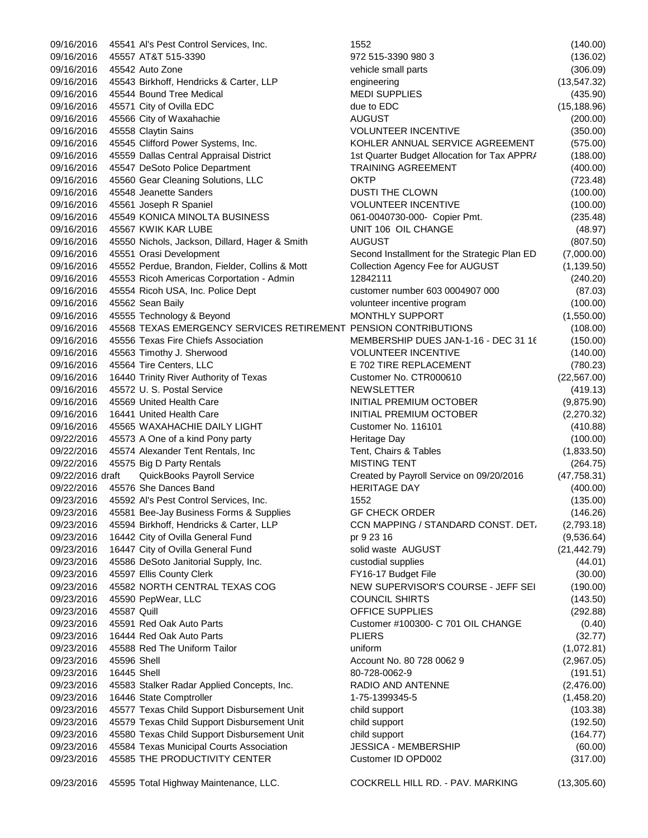09/16/2016 45541 Al's Pest Control Services, Inc. 1552 (140.00) 09/16/2016 45557 AT&T 515-3390 972 515-3390 980 3 (136.02) 09/16/2016 45542 Auto Zone vehicle small parts (306.09) 09/16/2016 45543 Birkhoff, Hendricks & Carter, LLP engineering (13,547.32) 09/16/2016 45544 Bound Tree Medical MEDI SUPPLIES (435.90) 09/16/2016 45571 City of Ovilla EDC due to EDC (15,188.96) 09/16/2016 45566 City of Waxahachie AUGUST (200.00) 09/16/2016 45558 Claytin Sains VOLUNTEER INCENTIVE (350.00) 09/16/2016 45545 Clifford Power Systems, Inc. KOHLER ANNUAL SERVICE AGREEMENT (575.00) 09/16/2016 45559 Dallas Central Appraisal District 1st Quarter Budget Allocation for Tax APPR/ (188.00) 09/16/2016 45547 DeSoto Police Department TRAINING AGREEMENT (400.00) 09/16/2016 45560 Gear Cleaning Solutions, LLC OKTP (723.48) 09/16/2016 45548 Jeanette Sanders DUSTI THE CLOWN (100.00) 09/16/2016 45561 Joseph R Spaniel VOLUNTEER INCENTIVE (100.00) 09/16/2016 45549 KONICA MINOLTA BUSINESS 061-0040730-000- Copier Pmt. (235.48) 09/16/2016 45567 KWIK KAR LUBE UNIT 106 OIL CHANGE (48.97) 09/16/2016 45550 Nichols, Jackson, Dillard, Hager & Smith AUGUST (807.50) 09/16/2016 45551 Orasi Development Second Installment for the Strategic Plan ED (7,000.00) 09/16/2016 45552 Perdue, Brandon, Fielder, Collins & Mott Collection Agency Fee for AUGUST (1,139.50) 09/16/2016 45553 Ricoh Americas Corportation - Admin 12842111 (240.20) 09/16/2016 45554 Ricoh USA, Inc. Police Dept customer number 603 0004907 000 (87.03) 09/16/2016 45562 Sean Baily volunteer incentive program (100.00) 09/16/2016 45555 Technology & Beyond MONTHLY SUPPORT (1,550.00) 09/16/2016 45568 TEXAS EMERGENCY SERVICES RETIREMENT PENSION CONTRIBUTIONS (108.00) 09/16/2016 45556 Texas Fire Chiefs Association MEMBERSHIP DUES JAN-1-16 - DEC 31 16 (150.00) 09/16/2016 45563 Timothy J. Sherwood VOLUNTEER INCENTIVE (140.00) 09/16/2016 45564 Tire Centers, LLC E 702 TIRE REPLACEMENT (780.23) 09/16/2016 16440 Trinity River Authority of Texas Customer No. CTR000610 (22,567.00) 09/16/2016 45572 U. S. Postal Service NEWSLETTER (419.13) 09/16/2016 45569 United Health Care Internal Care INITIAL PREMIUM OCTOBER (9,875.90) 09/16/2016 16441 United Health Care **INITIAL PREMIUM OCTOBER** (2,270.32) 09/16/2016 45565 WAXAHACHIE DAILY LIGHT Customer No. 116101 69/16/2016 410.88) 09/22/2016 45573 A One of a kind Pony party **Heritage Day** Heritage Day (100.00) 09/22/2016 45574 Alexander Tent Rentals, Inc Tent, Chairs & Tables (1,833.50) 09/22/2016 45575 Big D Party Rentals MISTING TENT MISTING TENT (264.75) 09/22/2016 draft QuickBooks Payroll Service Created by Payroll Service on 09/20/2016 (47,758.31) 09/22/2016 45576 She Dances Band HERITAGE DAY (400.00) 09/23/2016 45592 Al's Pest Control Services, Inc. 1552 (135.00) 09/23/2016 45581 Bee-Jay Business Forms & Supplies GF CHECK ORDER (146.26) 09/23/2016 45594 Birkhoff, Hendricks & Carter, LLP CCN MAPPING / STANDARD CONST. DET. (2,793.18) 09/23/2016 16442 City of Ovilla General Fund pr 9 23 16 pr 9 23 16 (9,536.64) 09/23/2016 16447 City of Ovilla General Fund solid waste AUGUST (21,442.79) 09/23/2016 45586 DeSoto Janitorial Supply, Inc. custodial supplies (44.01) 09/23/2016 45597 Ellis County Clerk **FX16-17 Budget File** (30.00) 09/23/2016 45582 NORTH CENTRAL TEXAS COG NEW SUPERVISOR'S COURSE - JEFF SEI (190.00) 09/23/2016 45590 PepWear, LLC COUNCIL SHIRTS COUNCIL SHIRTS COUNCIL SHIRTS (143.50) 09/23/2016 45587 Quill CONTENTS CONTROLLER CONTROLLER CONTROLLER CONTROLLER CONTROLLER C 09/23/2016 45591 Red Oak Auto Parts Customer #100300- C 701 OIL CHANGE (0.40) 09/23/2016 16444 Red Oak Auto Parts PLIERS (32.77) 09/23/2016 45588 Red The Uniform Tailor uniform (1,072.81) 09/23/2016 45596 Shell **Account No. 80 728 0062 9** (2,967.05) 4 (2,967.05) 09/23/2016 16445 Shell 80-728-0062-9 (191.51) 09/23/2016 45583 Stalker Radar Applied Concepts, Inc. RADIO AND ANTENNE (2,476.00) 09/23/2016 16446 State Comptroller 1-75-1399345-5 (1,458.20) 09/23/2016 45577 Texas Child Support Disbursement Unit child support (103.38) 09/23/2016 45579 Texas Child Support Disbursement Unit child support (192.50) 09/23/2016 45580 Texas Child Support Disbursement Unit child support (164.77) 09/23/2016 45584 Texas Municipal Courts Association JESSICA - MEMBERSHIP (60.00) 09/23/2016 45585 THE PRODUCTIVITY CENTER Customer ID OPD002 (317.00)

09/23/2016 45595 Total Highway Maintenance, LLC. COCKRELL HILL RD. - PAV. MARKING (13,305.60)